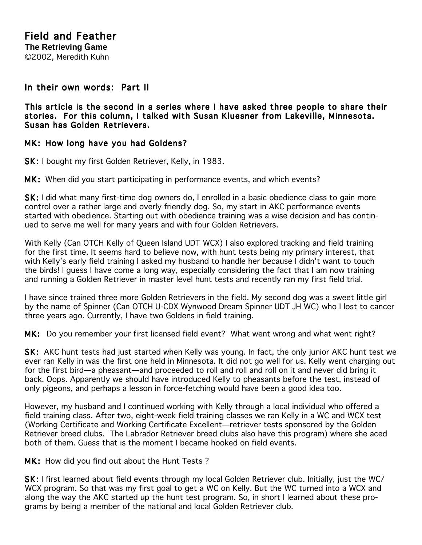## In their own words: Part II

This article is the second in a series where I have asked three people to share their stories. For this column, I talked with Susan Kluesner from Lakeville, Minnesota. Susan has Golden Retrievers.

## MK: How long have you had Goldens?

SK: I bought my first Golden Retriever, Kelly, in 1983.

MK: When did you start participating in performance events, and which events?

SK: I did what many first-time dog owners do, I enrolled in a basic obedience class to gain more control over a rather large and overly friendly dog. So, my start in AKC performance events started with obedience. Starting out with obedience training was a wise decision and has continued to serve me well for many years and with four Golden Retrievers.

With Kelly (Can OTCH Kelly of Queen Island UDT WCX) I also explored tracking and field training for the first time. It seems hard to believe now, with hunt tests being my primary interest, that with Kelly's early field training I asked my husband to handle her because I didn't want to touch the birds! I guess I have come a long way, especially considering the fact that I am now training and running a Golden Retriever in master level hunt tests and recently ran my first field trial.

I have since trained three more Golden Retrievers in the field. My second dog was a sweet little girl by the name of Spinner (Can OTCH U-CDX Wynwood Dream Spinner UDT JH WC) who I lost to cancer three years ago. Currently, I have two Goldens in field training.

MK: Do you remember your first licensed field event? What went wrong and what went right?

SK: AKC hunt tests had just started when Kelly was young. In fact, the only junior AKC hunt test we ever ran Kelly in was the first one held in Minnesota. It did not go well for us. Kelly went charging out for the first bird—a pheasant—and proceeded to roll and roll and roll on it and never did bring it back. Oops. Apparently we should have introduced Kelly to pheasants before the test, instead of only pigeons, and perhaps a lesson in force-fetching would have been a good idea too.

However, my husband and I continued working with Kelly through a local individual who offered a field training class. After two, eight-week field training classes we ran Kelly in a WC and WCX test (Working Certificate and Working Certificate Excellent—retriever tests sponsored by the Golden Retriever breed clubs. The Labrador Retriever breed clubs also have this program) where she aced both of them. Guess that is the moment I became hooked on field events.

MK: How did you find out about the Hunt Tests?

SK: I first learned about field events through my local Golden Retriever club. Initially, just the WC/ WCX program. So that was my first goal to get a WC on Kelly. But the WC turned into a WCX and along the way the AKC started up the hunt test program. So, in short I learned about these programs by being a member of the national and local Golden Retriever club.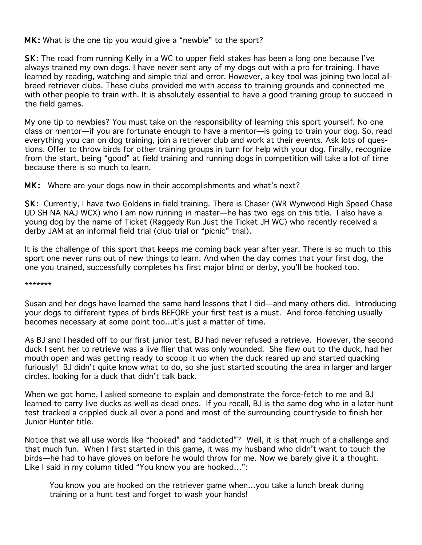## MK: What is the one tip you would give a "newbie" to the sport?

SK: The road from running Kelly in a WC to upper field stakes has been a long one because I've always trained my own dogs. I have never sent any of my dogs out with a pro for training. I have learned by reading, watching and simple trial and error. However, a key tool was joining two local allbreed retriever clubs. These clubs provided me with access to training grounds and connected me with other people to train with. It is absolutely essential to have a good training group to succeed in the field games.

My one tip to newbies? You must take on the responsibility of learning this sport yourself. No one class or mentor—if you are fortunate enough to have a mentor—is going to train your dog. So, read everything you can on dog training, join a retriever club and work at their events. Ask lots of questions. Offer to throw birds for other training groups in turn for help with your dog. Finally, recognize from the start, being "good" at field training and running dogs in competition will take a lot of time because there is so much to learn.

MK: Where are your dogs now in their accomplishments and what's next?

SK: Currently, I have two Goldens in field training. There is Chaser (WR Wynwood High Speed Chase UD SH NA NAJ WCX) who I am now running in master—he has two legs on this title. I also have a young dog by the name of Ticket (Raggedy Run Just the Ticket JH WC) who recently received a derby JAM at an informal field trial (club trial or "picnic" trial).

It is the challenge of this sport that keeps me coming back year after year. There is so much to this sport one never runs out of new things to learn. And when the day comes that your first dog, the one you trained, successfully completes his first major blind or derby, you'll be hooked too.

\*\*\*\*\*\*\*

Susan and her dogs have learned the same hard lessons that I did—and many others did. Introducing your dogs to different types of birds BEFORE your first test is a must. And force-fetching usually becomes necessary at some point too…it's just a matter of time.

As BJ and I headed off to our first junior test, BJ had never refused a retrieve. However, the second duck I sent her to retrieve was a live flier that was only wounded. She flew out to the duck, had her mouth open and was getting ready to scoop it up when the duck reared up and started quacking furiously! BJ didn't quite know what to do, so she just started scouting the area in larger and larger circles, looking for a duck that didn't talk back.

When we got home, I asked someone to explain and demonstrate the force-fetch to me and BJ learned to carry live ducks as well as dead ones. If you recall, BJ is the same dog who in a later hunt test tracked a crippled duck all over a pond and most of the surrounding countryside to finish her Junior Hunter title.

Notice that we all use words like "hooked" and "addicted"? Well, it is that much of a challenge and that much fun. When I first started in this game, it was my husband who didn't want to touch the birds—he had to have gloves on before he would throw for me. Now we barely give it a thought. Like I said in my column titled "You know you are hooked…":

You know you are hooked on the retriever game when…you take a lunch break during training or a hunt test and forget to wash your hands!